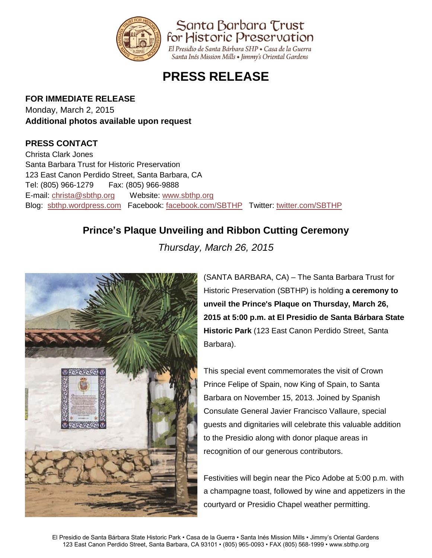

# **PRESS RELEASE**

#### **FOR IMMEDIATE RELEASE**

Monday, March 2, 2015 **Additional photos available upon request**

### **PRESS CONTACT**

Christa Clark Jones Santa Barbara Trust for Historic Preservation 123 East Canon Perdido Street, Santa Barbara, CA Tel: (805) 966-1279 Fax: (805) 966-9888 E-mail: [christa@sbthp.org](mailto:christa@sbthp.org) Website: [www.sbthp.org](http://www.sbthp.org/) Blog: [sbthp.wordpress.com](http://sbthp.wordpress.com/) Facebook: [facebook.com/SBTHP](http://www.facebook.com/SBTHP) Twitter: [twitter.com/SBTHP](http://twitter.com/SBTHP)

## **Prince's Plaque Unveiling and Ribbon Cutting Ceremony**

*Thursday, March 26, 2015*



(SANTA BARBARA, CA) – The Santa Barbara Trust for Historic Preservation (SBTHP) is holding **a ceremony to unveil the Prince's Plaque on Thursday, March 26, 2015 at 5:00 p.m. at El Presidio de Santa Bárbara State Historic Park** (123 East Canon Perdido Street, Santa Barbara).

This special event commemorates the visit of Crown Prince Felipe of Spain, now King of Spain, to Santa Barbara on November 15, 2013. Joined by Spanish Consulate General Javier Francisco Vallaure, special guests and dignitaries will celebrate this valuable addition to the Presidio along with donor plaque areas in recognition of our generous contributors.

Festivities will begin near the Pico Adobe at 5:00 p.m. with a champagne toast, followed by wine and appetizers in the courtyard or Presidio Chapel weather permitting.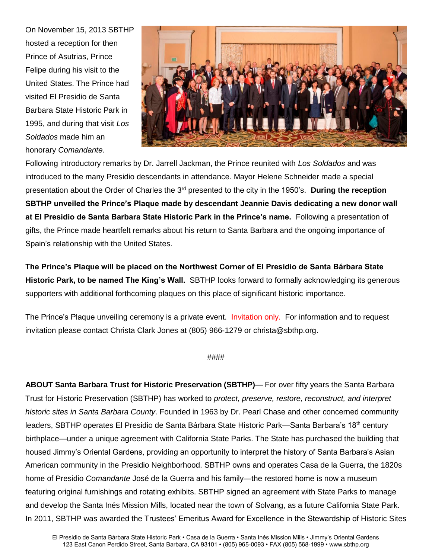On November 15, 2013 SBTHP hosted a reception for then Prince of Asutrias, Prince Felipe during his visit to the United States. The Prince had visited El Presidio de Santa Barbara State Historic Park in 1995, and during that visit *Los Soldados* made him an honorary *Comandante*.



Following introductory remarks by Dr. Jarrell Jackman, the Prince reunited with *Los Soldados* and was introduced to the many Presidio descendants in attendance. Mayor Helene Schneider made a special presentation about the Order of Charles the 3rd presented to the city in the 1950's. **During the reception SBTHP unveiled the Prince's Plaque made by descendant Jeannie Davis dedicating a new donor wall at El Presidio de Santa Barbara State Historic Park in the Prince's name.** Following a presentation of gifts, the Prince made heartfelt remarks about his return to Santa Barbara and the ongoing importance of Spain's relationship with the United States.

**The Prince's Plaque will be placed on the Northwest Corner of El Presidio de Santa Bárbara State Historic Park, to be named The King's Wall.** SBTHP looks forward to formally acknowledging its generous supporters with additional forthcoming plaques on this place of significant historic importance.

The Prince's Plaque unveiling ceremony is a private event. Invitation only. For information and to request invitation please contact Christa Clark Jones at (805) 966-1279 or christa@sbthp.org.

#### ####

**ABOUT Santa Barbara Trust for Historic Preservation (SBTHP)**— For over fifty years the Santa Barbara Trust for Historic Preservation (SBTHP) has worked to *protect, preserve, restore, reconstruct, and interpret historic sites in Santa Barbara County*. Founded in 1963 by Dr. Pearl Chase and other concerned community leaders, SBTHP operates El Presidio de Santa Bárbara State Historic Park—Santa Barbara's 18<sup>th</sup> century birthplace—under a unique agreement with California State Parks. The State has purchased the building that housed Jimmy's Oriental Gardens, providing an opportunity to interpret the history of Santa Barbara's Asian American community in the Presidio Neighborhood. SBTHP owns and operates Casa de la Guerra, the 1820s home of Presidio *Comandante* José de la Guerra and his family—the restored home is now a museum featuring original furnishings and rotating exhibits. SBTHP signed an agreement with State Parks to manage and develop the Santa Inés Mission Mills, located near the town of Solvang, as a future California State Park. In 2011, SBTHP was awarded the Trustees' Emeritus Award for Excellence in the Stewardship of Historic Sites